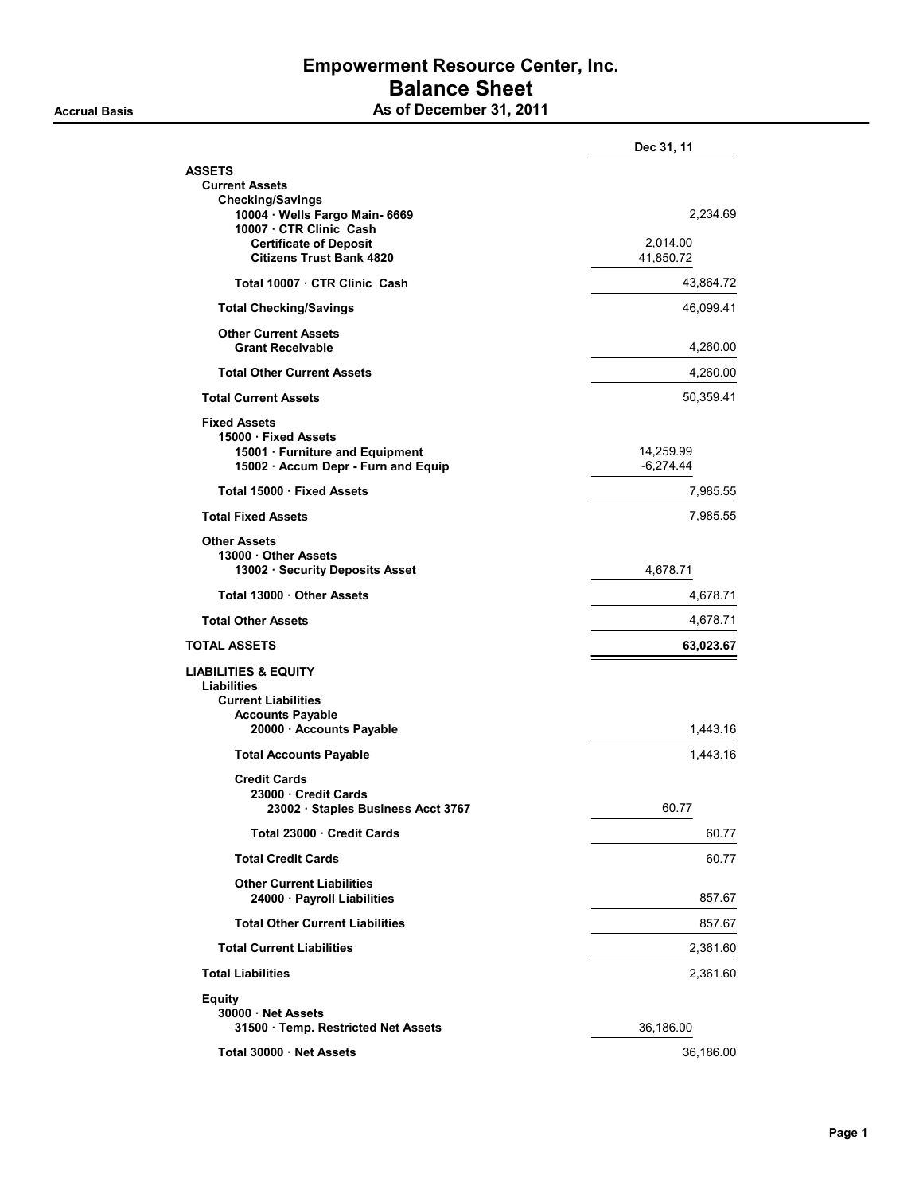### Empowerment Resource Center, Inc. Balance Sheet As of December 31, 2011

|                                                                                                                                     | Dec 31, 11               |
|-------------------------------------------------------------------------------------------------------------------------------------|--------------------------|
| <b>ASSETS</b><br><b>Current Assets</b><br><b>Checking/Savings</b>                                                                   |                          |
| 10004 · Wells Fargo Main- 6669<br>10007 CTR Clinic Cash                                                                             | 2,234.69                 |
| <b>Certificate of Deposit</b><br><b>Citizens Trust Bank 4820</b>                                                                    | 2,014.00<br>41,850.72    |
| Total 10007 · CTR Clinic Cash                                                                                                       | 43,864.72                |
| <b>Total Checking/Savings</b>                                                                                                       | 46,099.41                |
| <b>Other Current Assets</b><br><b>Grant Receivable</b>                                                                              | 4,260.00                 |
| <b>Total Other Current Assets</b>                                                                                                   | 4,260.00                 |
| <b>Total Current Assets</b>                                                                                                         | 50,359.41                |
| <b>Fixed Assets</b><br>15000 · Fixed Assets<br>15001 · Furniture and Equipment<br>15002 · Accum Depr - Furn and Equip               | 14,259.99<br>$-6,274.44$ |
| Total 15000 · Fixed Assets                                                                                                          | 7,985.55                 |
| <b>Total Fixed Assets</b>                                                                                                           | 7,985.55                 |
| <b>Other Assets</b><br>13000 Other Assets<br>13002 · Security Deposits Asset                                                        | 4,678.71                 |
| Total 13000 Other Assets                                                                                                            | 4,678.71                 |
| <b>Total Other Assets</b>                                                                                                           | 4,678.71                 |
| <b>TOTAL ASSETS</b>                                                                                                                 | 63,023.67                |
| <b>LIABILITIES &amp; EQUITY</b><br>Liabilities<br><b>Current Liabilities</b><br><b>Accounts Payable</b><br>20000 · Accounts Payable | 1,443.16                 |
| <b>Total Accounts Payable</b>                                                                                                       | 1,443.16                 |
| <b>Credit Cards</b>                                                                                                                 |                          |
| 23000 Credit Cards<br>23002 · Staples Business Acct 3767                                                                            | 60.77                    |
| Total 23000 Credit Cards                                                                                                            | 60.77                    |
| <b>Total Credit Cards</b>                                                                                                           | 60.77                    |
| <b>Other Current Liabilities</b><br>24000 · Payroll Liabilities                                                                     | 857.67                   |
| <b>Total Other Current Liabilities</b>                                                                                              | 857.67                   |
| <b>Total Current Liabilities</b>                                                                                                    | 2,361.60                 |
| <b>Total Liabilities</b>                                                                                                            | 2,361.60                 |
| <b>Equity</b><br>30000 · Net Assets<br>31500 · Temp. Restricted Net Assets                                                          | 36,186.00                |
| Total 30000 Net Assets                                                                                                              | 36,186.00                |
|                                                                                                                                     |                          |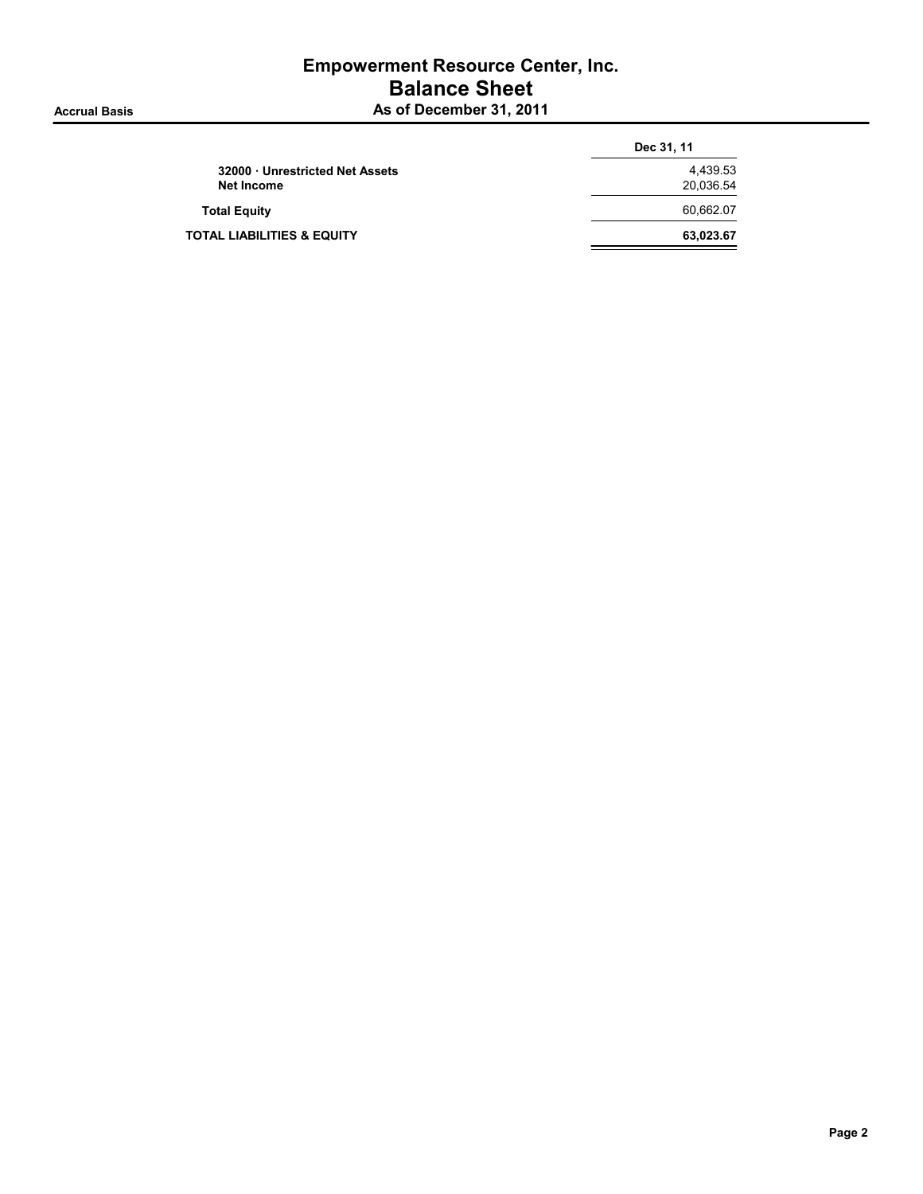### Empowerment Resource Center, Inc. Balance Sheet As of December 31, 2011

|                                       | Dec 31, 11 |
|---------------------------------------|------------|
| 32000 Unrestricted Net Assets         | 4,439.53   |
| Net Income                            | 20,036.54  |
| <b>Total Equity</b>                   | 60.662.07  |
| <b>TOTAL LIABILITIES &amp; EQUITY</b> | 63,023.67  |
|                                       |            |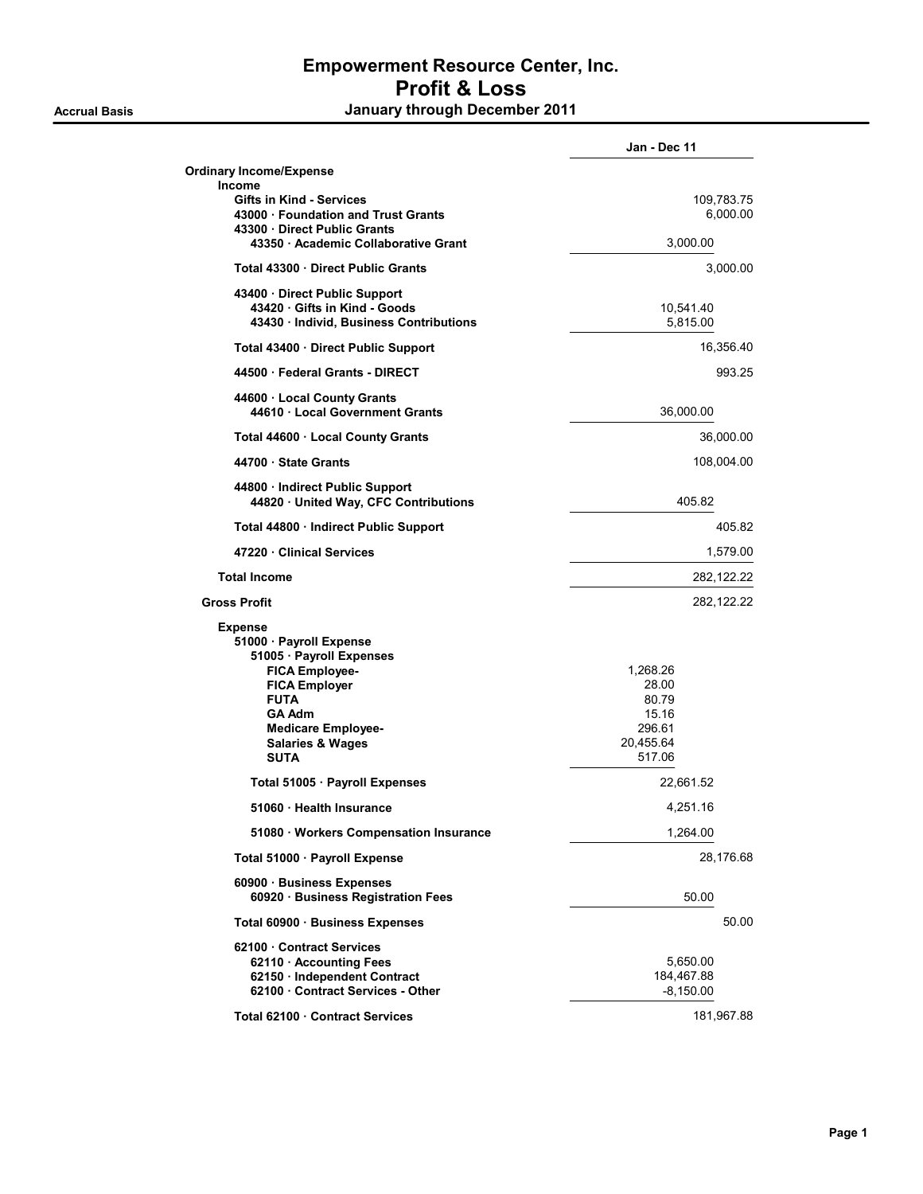|                                                                      | Jan - Dec 11          |
|----------------------------------------------------------------------|-----------------------|
| <b>Ordinary Income/Expense</b>                                       |                       |
| Income                                                               |                       |
| <b>Gifts in Kind - Services</b><br>43000 Foundation and Trust Grants | 109,783.75            |
| 43300 Direct Public Grants                                           | 6,000.00              |
| 43350 · Academic Collaborative Grant                                 | 3,000.00              |
| Total 43300 Direct Public Grants                                     | 3,000.00              |
| 43400 Direct Public Support                                          |                       |
| 43420 Gifts in Kind - Goods<br>43430 Individ, Business Contributions | 10,541.40<br>5,815.00 |
| Total 43400 · Direct Public Support                                  | 16,356.40             |
| 44500 Federal Grants - DIRECT                                        | 993.25                |
| 44600 Local County Grants                                            |                       |
| 44610 Local Government Grants                                        | 36,000.00             |
| Total 44600 · Local County Grants                                    | 36,000.00             |
| 44700 State Grants                                                   | 108,004.00            |
| 44800 · Indirect Public Support                                      |                       |
| 44820 United Way, CFC Contributions                                  | 405.82                |
| Total 44800 · Indirect Public Support                                | 405.82                |
| 47220 Clinical Services                                              | 1,579.00              |
| <b>Total Income</b>                                                  | 282, 122. 22          |
| <b>Gross Profit</b>                                                  | 282, 122. 22          |
| <b>Expense</b>                                                       |                       |
| 51000 · Payroll Expense                                              |                       |
| 51005 · Payroll Expenses                                             |                       |
| <b>FICA Employee-</b>                                                | 1,268.26              |
| <b>FICA Employer</b>                                                 | 28.00                 |
| <b>FUTA</b>                                                          | 80.79                 |
| <b>GA Adm</b>                                                        | 15.16                 |
| <b>Medicare Employee-</b>                                            | 296.61                |
| <b>Salaries &amp; Wages</b>                                          | 20,455.64             |
| <b>SUTA</b>                                                          | 517.06                |
| Total 51005 · Payroll Expenses                                       | 22,661.52             |
| 51060 · Health Insurance                                             | 4,251.16              |
| 51080 · Workers Compensation Insurance                               | 1,264.00              |
| Total 51000 · Payroll Expense                                        | 28,176.68             |
| 60900 Business Expenses<br>60920 · Business Registration Fees        | 50.00                 |
| Total 60900 · Business Expenses                                      | 50.00                 |
| 62100 Contract Services                                              |                       |
| 62110 · Accounting Fees                                              | 5,650.00              |
| 62150 · Independent Contract                                         | 184,467.88            |
| 62100 · Contract Services - Other                                    | $-8,150.00$           |
| Total 62100 Contract Services                                        | 181,967.88            |

Page 1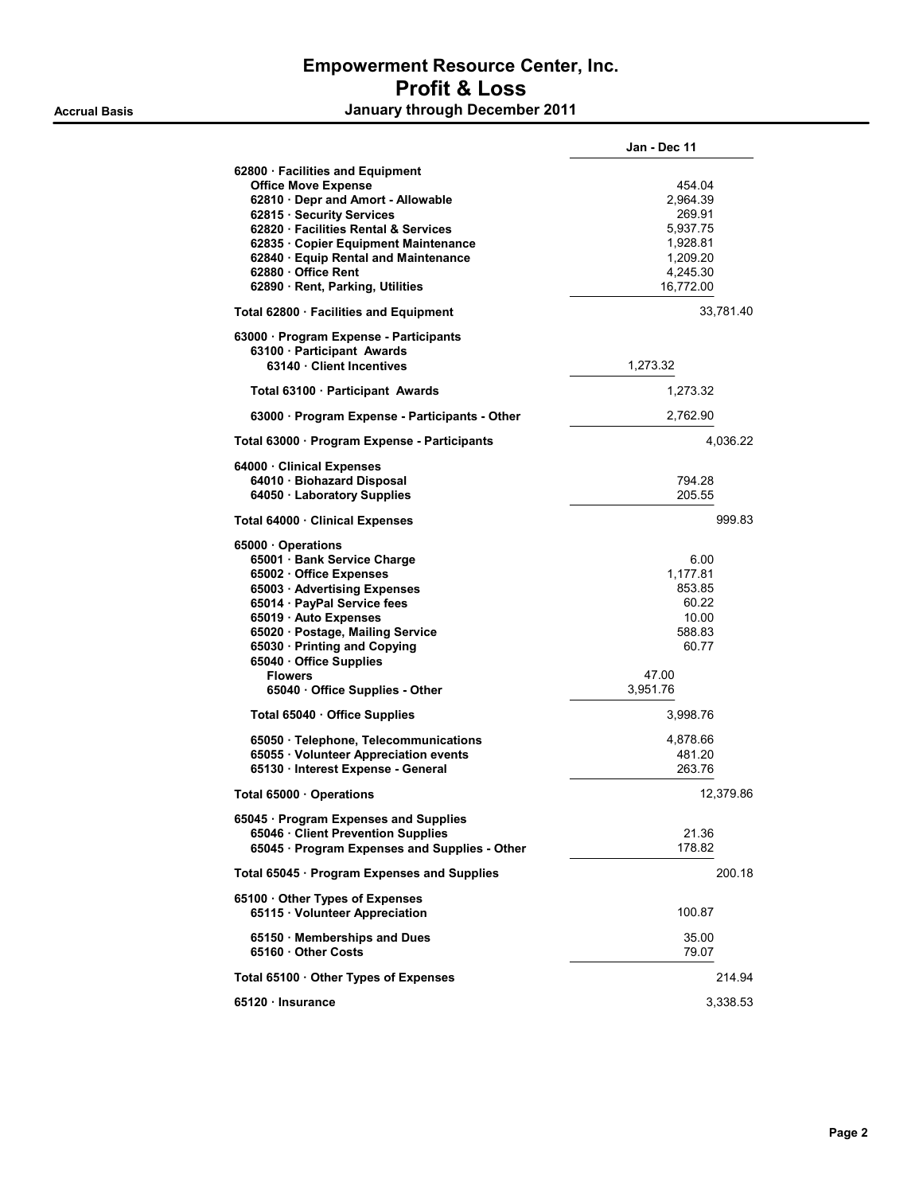|                                                                                                                                                                                                                                                                                                                      | Jan - Dec 11                                                                              |
|----------------------------------------------------------------------------------------------------------------------------------------------------------------------------------------------------------------------------------------------------------------------------------------------------------------------|-------------------------------------------------------------------------------------------|
| 62800 · Facilities and Equipment<br><b>Office Move Expense</b><br>62810 · Depr and Amort - Allowable<br>62815 · Security Services<br>62820 · Facilities Rental & Services<br>62835 · Copier Equipment Maintenance<br>62840 · Equip Rental and Maintenance<br>62880 · Office Rent<br>62890 · Rent, Parking, Utilities | 454.04<br>2,964.39<br>269.91<br>5.937.75<br>1.928.81<br>1,209.20<br>4,245.30<br>16,772.00 |
| Total 62800 · Facilities and Equipment                                                                                                                                                                                                                                                                               | 33,781.40                                                                                 |
| 63000 · Program Expense - Participants<br>63100 · Participant Awards<br>63140 · Client Incentives                                                                                                                                                                                                                    | 1,273.32                                                                                  |
| Total 63100 · Participant Awards                                                                                                                                                                                                                                                                                     | 1,273.32                                                                                  |
| 63000 · Program Expense - Participants - Other                                                                                                                                                                                                                                                                       | 2,762.90                                                                                  |
| Total 63000 · Program Expense - Participants                                                                                                                                                                                                                                                                         | 4,036.22                                                                                  |
| 64000 · Clinical Expenses<br>64010 · Biohazard Disposal<br>64050 · Laboratory Supplies                                                                                                                                                                                                                               | 794.28<br>205.55                                                                          |
| Total 64000 · Clinical Expenses                                                                                                                                                                                                                                                                                      | 999.83                                                                                    |
| 65000 Operations<br>65001 · Bank Service Charge<br>65002 · Office Expenses<br>65003 Advertising Expenses<br>65014 · PayPal Service fees<br>65019 · Auto Expenses<br>65020 · Postage, Mailing Service<br>65030 · Printing and Copying<br>65040 · Office Supplies<br><b>Flowers</b><br>65040 Office Supplies - Other   | 6.00<br>1,177.81<br>853.85<br>60.22<br>10.00<br>588.83<br>60.77<br>47.00<br>3,951.76      |
| Total 65040 · Office Supplies                                                                                                                                                                                                                                                                                        | 3,998.76                                                                                  |
| 65050 · Telephone, Telecommunications<br>65055 · Volunteer Appreciation events<br>65130 · Interest Expense - General                                                                                                                                                                                                 | 4,878.66<br>481.20<br>263.76                                                              |
| Total 65000 · Operations                                                                                                                                                                                                                                                                                             | 12,379.86                                                                                 |
| 65045 · Program Expenses and Supplies<br>65046 · Client Prevention Supplies<br>65045 · Program Expenses and Supplies - Other                                                                                                                                                                                         | 21.36<br>178.82                                                                           |
| Total 65045 · Program Expenses and Supplies                                                                                                                                                                                                                                                                          | 200.18                                                                                    |
| 65100 Other Types of Expenses<br>65115 · Volunteer Appreciation                                                                                                                                                                                                                                                      | 100.87                                                                                    |
| 65150 Memberships and Dues<br>65160 Other Costs                                                                                                                                                                                                                                                                      | 35.00<br>79.07                                                                            |
| Total 65100 · Other Types of Expenses                                                                                                                                                                                                                                                                                | 214.94                                                                                    |
| 65120 · Insurance                                                                                                                                                                                                                                                                                                    | 3,338.53                                                                                  |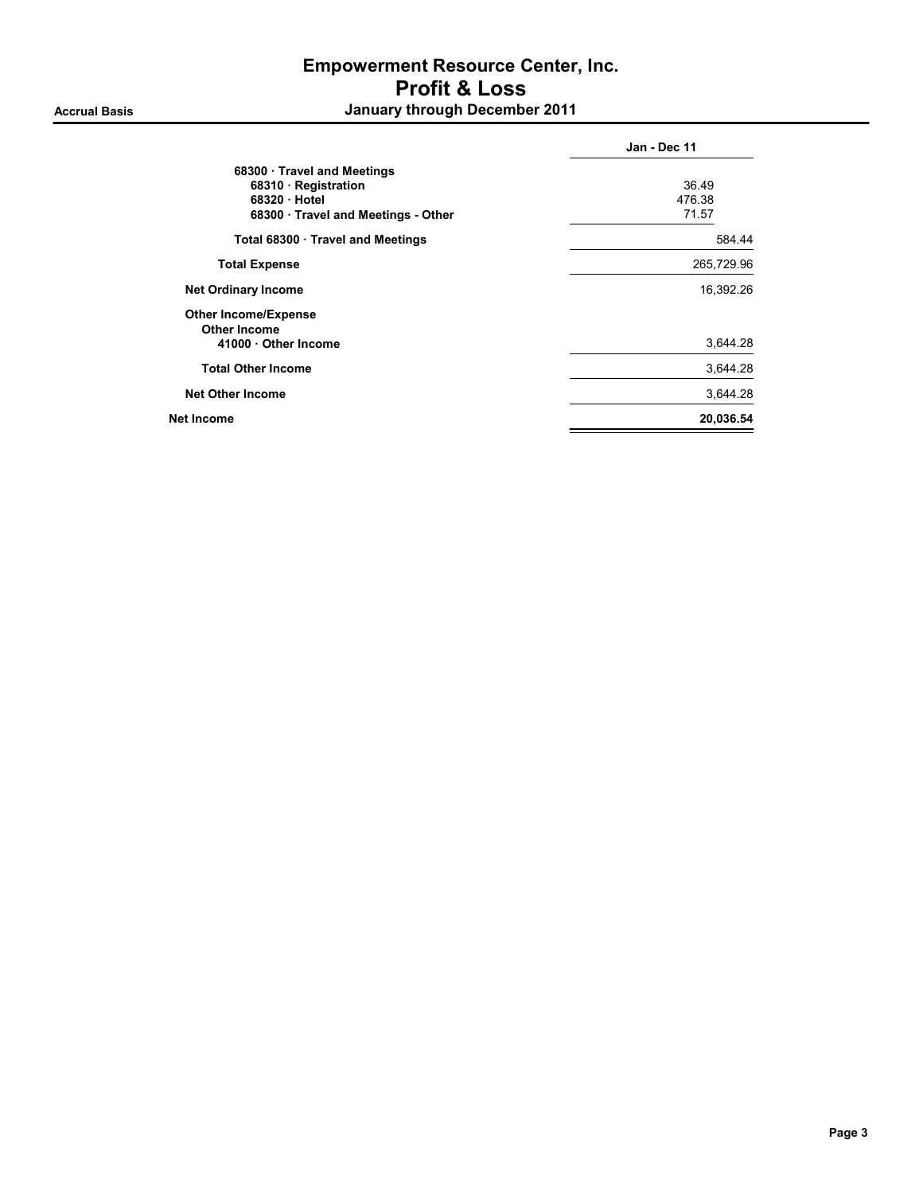|                                                                                                       | Jan - Dec 11             |
|-------------------------------------------------------------------------------------------------------|--------------------------|
| 68300 Travel and Meetings<br>68310 · Registration<br>68320 Hotel<br>68300 Travel and Meetings - Other | 36.49<br>476.38<br>71.57 |
| Total 68300 · Travel and Meetings                                                                     | 584.44                   |
| <b>Total Expense</b>                                                                                  | 265,729.96               |
| <b>Net Ordinary Income</b>                                                                            | 16,392.26                |
| <b>Other Income/Expense</b><br><b>Other Income</b><br>41000 Other Income                              | 3,644.28                 |
| <b>Total Other Income</b>                                                                             | 3,644.28                 |
| <b>Net Other Income</b>                                                                               | 3,644.28                 |
| Net Income                                                                                            | 20,036.54                |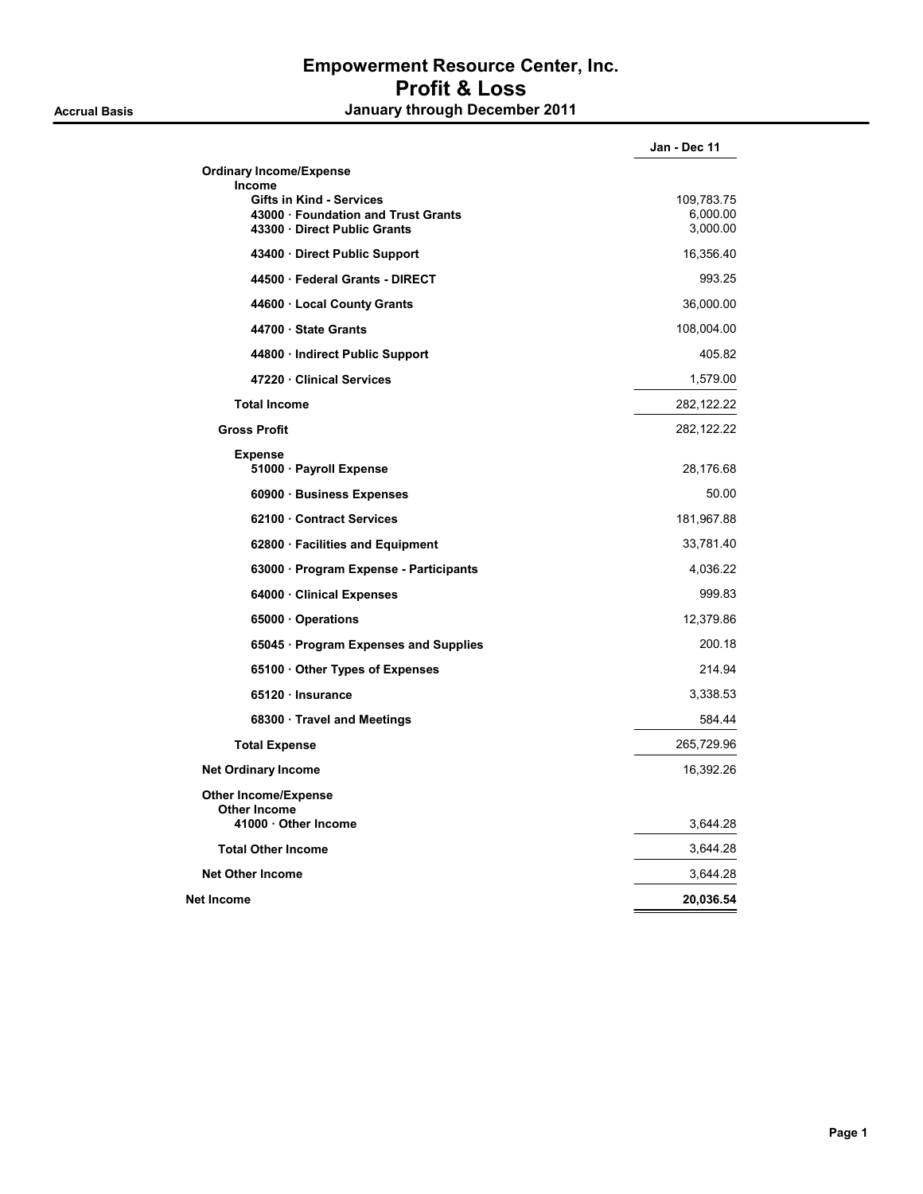|                                                                                                                       | Jan - Dec 11                       |
|-----------------------------------------------------------------------------------------------------------------------|------------------------------------|
| <b>Ordinary Income/Expense</b>                                                                                        |                                    |
| <b>Income</b><br><b>Gifts in Kind - Services</b><br>43000 · Foundation and Trust Grants<br>43300 Direct Public Grants | 109,783.75<br>6,000.00<br>3,000.00 |
| 43400 Direct Public Support                                                                                           | 16,356.40                          |
| 44500 · Federal Grants - DIRECT                                                                                       | 993.25                             |
| 44600 · Local County Grants                                                                                           | 36,000.00                          |
| 44700 · State Grants                                                                                                  | 108,004.00                         |
| 44800 · Indirect Public Support                                                                                       | 405.82                             |
| 47220 · Clinical Services                                                                                             | 1,579.00                           |
| <b>Total Income</b>                                                                                                   | 282, 122.22                        |
| <b>Gross Profit</b>                                                                                                   | 282,122.22                         |
| <b>Expense</b><br>51000 · Payroll Expense                                                                             | 28,176.68                          |
| 60900 · Business Expenses                                                                                             | 50.00                              |
| 62100 Contract Services                                                                                               | 181,967.88                         |
| 62800 · Facilities and Equipment                                                                                      | 33,781.40                          |
| 63000 · Program Expense - Participants                                                                                | 4,036.22                           |
| 64000 Clinical Expenses                                                                                               | 999.83                             |
| 65000 Operations                                                                                                      | 12,379.86                          |
| 65045 · Program Expenses and Supplies                                                                                 | 200.18                             |
| 65100 Other Types of Expenses                                                                                         | 214.94                             |
| 65120 Insurance                                                                                                       | 3,338.53                           |
| 68300 · Travel and Meetings                                                                                           | 584.44                             |
| <b>Total Expense</b>                                                                                                  | 265,729.96                         |
| <b>Net Ordinary Income</b>                                                                                            | 16,392.26                          |
| <b>Other Income/Expense</b><br>Other Income<br>41000 Other Income                                                     | 3,644.28                           |
| <b>Total Other Income</b>                                                                                             | 3,644.28                           |
| <b>Net Other Income</b>                                                                                               | 3,644.28                           |
| Net Income                                                                                                            | 20,036.54                          |
|                                                                                                                       |                                    |